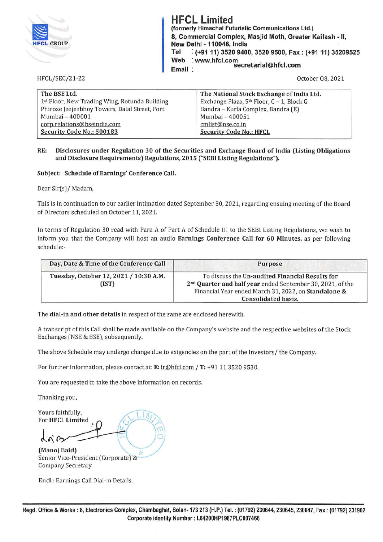| <b>HFCL GROUP</b>     | <b>HFCL Limited</b><br>(formerly Himachal Futuristic Communications Ltd.)<br>8, Commercial Complex, Masjid Moth, Greater Kailash - II,<br>New Delhi - 110048, India<br>$:(+91 11) 3520 9400, 3520 9500, Fax:(+91 11) 35209525$<br>Tel<br>: www.hfcl.com<br>Web<br>secretarial@hfcl.com<br>Email: |
|-----------------------|--------------------------------------------------------------------------------------------------------------------------------------------------------------------------------------------------------------------------------------------------------------------------------------------------|
| <b>HFCL/SEC/21-22</b> | October 08, 2021                                                                                                                                                                                                                                                                                 |

| The BSE Ltd.                                  | The National Stock Exchange of India Ltd.             |  |
|-----------------------------------------------|-------------------------------------------------------|--|
| 1st Floor, New Trading Wing, Rotunda Building | Exchange Plaza, 5 <sup>th</sup> Floor, C - 1, Block G |  |
| Phiroze Jeejeebhoy Towers, Dalal Street, Fort | Bandra - Kurla Complex, Bandra (E)                    |  |
| Mumbai - 400001                               | Mumbai - 400051                                       |  |
| corp.relations@bseindia.com                   | cmlist@nse.co.in                                      |  |
| Security Code No.: 500183                     | <b>Security Code No.: HFCL</b>                        |  |
|                                               |                                                       |  |

#### **RE: Disclosures under Regulation 30 of the Securities and Exchange Board of India (Listing Obligations and Disclosure Requirements) Regulations, 2015 ("SEBI Listing Regulations").**

### **Subject: Schedule of Earnings' Conference Call.**

Dear Sir(s)/ Madam,

This is in continuation to our earlier intimation dated September 30, 2021, regarding ensuing meeting of the Board of Directors scheduled on October 11, 2021.

In terms of Regulation 30 read with Para *A* of Part *A* of Schedule Ill to the SEBI Listing Regulations, we wish to inform you that the Company will host an audio **Earnings Conference Call for 60 Minutes,** as per following schedule:-

| Day, Date & Time of the Conference Call         | <b>Purpose</b>                                                                                                                                                                    |
|-------------------------------------------------|-----------------------------------------------------------------------------------------------------------------------------------------------------------------------------------|
| Tuesday, October 12, 2021 / 10:30 A.M.<br>(IST) | To discuss the Un-audited Financial Results for<br>2 <sup>nd</sup> Quarter and half year ended September 30, 2021, of the<br>Financial Year ended March 31, 2022, on Standalone & |
|                                                 | Consolidated basis.                                                                                                                                                               |

The **dial-in and other details** in respect of the same are enclosed herewith.

*A* transcript of this Call shall be made available on the Company's website and the respective websites of the Stock Exchanges (NSE & BSE), subsequently.

The above Schedule may undergo change due to exigencies on the part of the Investors/ the Company.

For further information, please contact at: **E:** ir@hfcl.com / **T:** +91 11 3520 9530.

You are requested to take the above information on records.

Thanking you,

Thanking you,<br>Yours faithfully,<br>For HECL Limited **For HFCL Limited**  $\cdot$  *Q* t  $\mathsf{P}$  **HFCL Limited**  $\mathsf{P}$  $\frac{1}{\sqrt{2}}$   $\frac{1}{\sqrt{2}}$ **(Manoj Baid)** 7 /

Senior Vice-President (Corporate) & Company Secretary

**Encl.:** Earnings Call Dial-in Details.